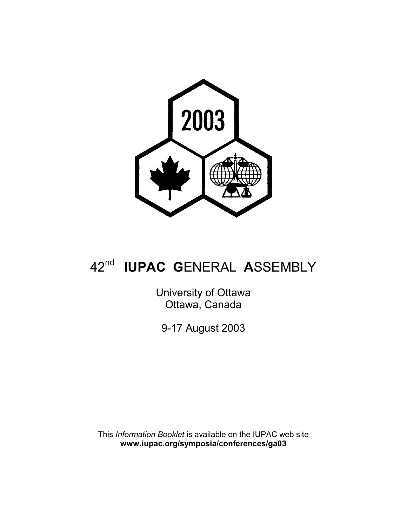

# 42nd **IUPAC G**ENERAL **A**SSEMBLY

University of Ottawa Ottawa, Canada

9-17 August 2003

This *Information Booklet* is available on the IUPAC web site **www.iupac.org/symposia/conferences/ga03**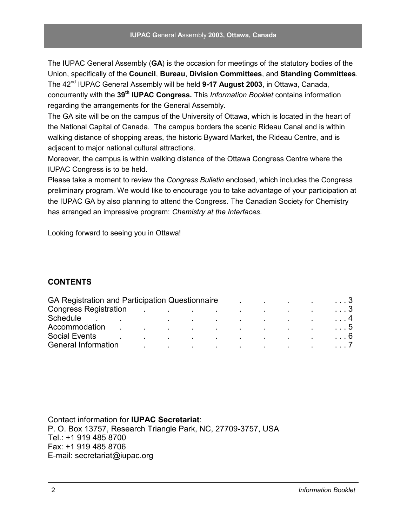The IUPAC General Assembly (**GA**) is the occasion for meetings of the statutory bodies of the Union, specifically of the **Council**, **Bureau**, **Division Committees**, and **Standing Committees**. The 42nd IUPAC General Assembly will be held **9-17 August 2003**, in Ottawa, Canada, concurrently with the **39th IUPAC Congress.** This *Information Booklet* contains information regarding the arrangements for the General Assembly.

The GA site will be on the campus of the University of Ottawa, which is located in the heart of the National Capital of Canada. The campus borders the scenic Rideau Canal and is within walking distance of shopping areas, the historic Byward Market, the Rideau Centre, and is adjacent to major national cultural attractions.

Moreover, the campus is within walking distance of the Ottawa Congress Centre where the IUPAC Congress is to be held.

Please take a moment to review the *Congress Bulletin* enclosed, which includes the Congress preliminary program. We would like to encourage you to take advantage of your participation at the IUPAC GA by also planning to attend the Congress. The Canadian Society for Chemistry has arranged an impressive program: *Chemistry at the Interfaces*.

Looking forward to seeing you in Ottawa!

### **CONTENTS**

| GA Registration and Participation Questionnaire |                                                                                                                                                                                                                               |                          |  |  | the company of the company of the company of                                                                                                                                                                                  | . 3        |
|-------------------------------------------------|-------------------------------------------------------------------------------------------------------------------------------------------------------------------------------------------------------------------------------|--------------------------|--|--|-------------------------------------------------------------------------------------------------------------------------------------------------------------------------------------------------------------------------------|------------|
| <b>Congress Registration</b>                    | the control of the control of the control of the control of the control of the control of the control of the control of the control of the control of the control of the control of the control of the control of the control |                          |  |  |                                                                                                                                                                                                                               | . 3        |
| Schedule                                        | the control of the control of the control of the control of the control of the control of the control of the control of the control of the control of the control of the control of the control of the control of the control |                          |  |  |                                                                                                                                                                                                                               | . 4        |
| Accommodation                                   |                                                                                                                                                                                                                               |                          |  |  | the control of the control of the control of the control of the control of the control of the control of the control of the control of the control of the control of the control of the control of the control of the control | $\ldots$ 5 |
| <b>Social Events</b>                            |                                                                                                                                                                                                                               | <b>Contract Contract</b> |  |  | the contract of the contract of the contract of the contract of the contract of                                                                                                                                               | . 6        |
| <b>General Information</b>                      |                                                                                                                                                                                                                               |                          |  |  | the contract of the contract of the contract of the contract of the contract of                                                                                                                                               | $\ldots l$ |
|                                                 |                                                                                                                                                                                                                               |                          |  |  |                                                                                                                                                                                                                               |            |

Contact information for **IUPAC Secretariat**: P. O. Box 13757, Research Triangle Park, NC, 27709-3757, USA Tel.: +1 919 485 8700 Fax: +1 919 485 8706 E-mail: secretariat@iupac.org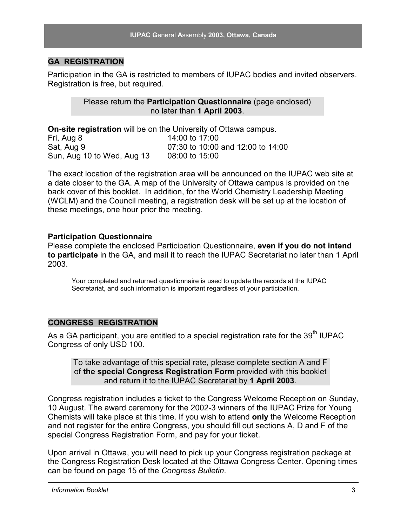### **GA REGISTRATION**

Participation in the GA is restricted to members of IUPAC bodies and invited observers. Registration is free, but required.

> Please return the **Participation Questionnaire** (page enclosed) no later than **1 April 2003**.

**On-site registration** will be on the University of Ottawa campus.

Fri, Aug 8 14:00 to 17:00 Sat, Aug 9 07:30 to 10:00 and 12:00 to 14:00 Sun, Aug 10 to Wed, Aug 13 08:00 to 15:00

The exact location of the registration area will be announced on the IUPAC web site at a date closer to the GA. A map of the University of Ottawa campus is provided on the back cover of this booklet. In addition, for the World Chemistry Leadership Meeting (WCLM) and the Council meeting, a registration desk will be set up at the location of these meetings, one hour prior the meeting.

#### **Participation Questionnaire**

Please complete the enclosed Participation Questionnaire, **even if you do not intend to participate** in the GA, and mail it to reach the IUPAC Secretariat no later than 1 April 2003.

Your completed and returned questionnaire is used to update the records at the IUPAC Secretariat, and such information is important regardless of your participation.

### **CONGRESS REGISTRATION**

As a GA participant, you are entitled to a special registration rate for the  $39<sup>th</sup>$  IUPAC Congress of only USD 100.

To take advantage of this special rate, please complete section A and F of **the special Congress Registration Form** provided with this booklet and return it to the IUPAC Secretariat by **1 April 2003**.

Congress registration includes a ticket to the Congress Welcome Reception on Sunday, 10 August. The award ceremony for the 2002-3 winners of the IUPAC Prize for Young Chemists will take place at this time. If you wish to attend **only** the Welcome Reception and not register for the entire Congress, you should fill out sections A, D and F of the special Congress Registration Form, and pay for your ticket.

Upon arrival in Ottawa, you will need to pick up your Congress registration package at the Congress Registration Desk located at the Ottawa Congress Center. Opening times can be found on page 15 of the *Congress Bulletin*.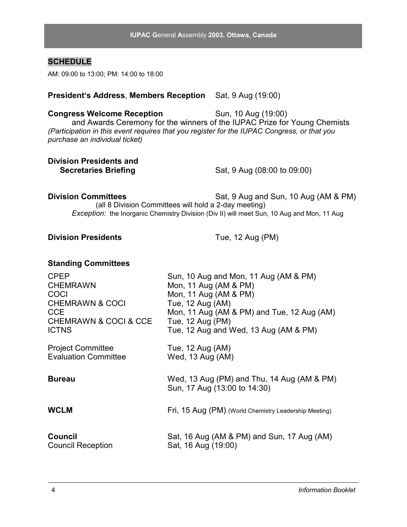| CHEMRAWN & COCI & CCE       | Tue, 12 Aug (PM)                                                           |
|-----------------------------|----------------------------------------------------------------------------|
| <b>ICTNS</b>                | Tue, 12 Aug and Wed, 13 Aug (AM & PM)                                      |
| <b>Project Committee</b>    | Tue, 12 Aug (AM)                                                           |
| <b>Evaluation Committee</b> | Wed, 13 Aug (AM)                                                           |
| <b>Bureau</b>               | Wed, 13 Aug (PM) and Thu, 14 Aug (AM & PM)<br>Sun, 17 Aug (13:00 to 14:30) |
| <b>WCLM</b>                 | Fri, 15 Aug (PM) (World Chemistry Leadership Meeting)                      |
| <b>Council</b>              | Sat, 16 Aug (AM & PM) and Sun, 17 Aug (AM)                                 |
| <b>Council Reception</b>    | Sat, 16 Aug (19:00)                                                        |

CCE Mon, 11 Aug (AM & PM) and Tue, 12 Aug (AM)<br>CHEMRAWN & COCL& CCE Tue 12 Aug (PM)

## **Congress Welcome Reception** Sun, 10 Aug (19:00)

and Awards Ceremony for the winners of the IUPAC Prize for Young Chemists *(Participation in this event requires that you register for the IUPAC Congress, or that you purchase an individual ticket)*

**President's Address**, **Members Reception** Sat, 9 Aug (19:00)

# **Division Presidents and**

**Secretaries Briefing Sat, 9 Aug (08:00 to 09:00)** 

#### **Division Committees** Sat, 9 Aug and Sun, 10 Aug (AM & PM) (all 8 Division Committees will hold a 2-day meeting) *Exception:* the Inorganic Chemistry Division (Div II) will meet Sun, 10 Aug and Mon, 11 Aug

#### **Division Presidents** Tue, 12 Aug (PM)

**Standing Committees**

CPEP Sun, 10 Aug and Mon, 11 Aug (AM & PM)

CHEMRAWN Mon, 11 Aug (AM & PM) COCI Mon, 11 Aug (AM & PM)

CHEMRAWN & COCI Tue, 12 Aug (AM)

### **SCHEDULE**

AM: 09:00 to 13:00; PM: 14:00 to 18:00

### **IUPAC G**eneral **A**ssembly **2003, Ottawa, Canada**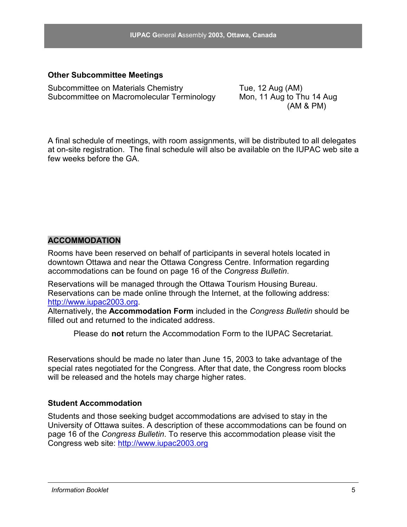#### **Other Subcommittee Meetings**

Subcommittee on Materials Chemistry Tue, 12 Aug (AM) Subcommittee on Macromolecular Terminology Mon, 11 Aug to Thu 14 Aug

(AM & PM)

A final schedule of meetings, with room assignments, will be distributed to all delegates at on-site registration. The final schedule will also be available on the IUPAC web site a few weeks before the GA.

### **ACCOMMODATION**

Rooms have been reserved on behalf of participants in several hotels located in downtown Ottawa and near the Ottawa Congress Centre. Information regarding accommodations can be found on page 16 of the *Congress Bulletin*.

Reservations will be managed through the Ottawa Tourism Housing Bureau. Reservations can be made online through the Internet, at the following address: http://www.iupac2003.org.

Alternatively, the **Accommodation Form** included in the *Congress Bulletin* should be filled out and returned to the indicated address.

Please do **not** return the Accommodation Form to the IUPAC Secretariat.

Reservations should be made no later than June 15, 2003 to take advantage of the special rates negotiated for the Congress. After that date, the Congress room blocks will be released and the hotels may charge higher rates.

#### **Student Accommodation**

Students and those seeking budget accommodations are advised to stay in the University of Ottawa suites. A description of these accommodations can be found on page 16 of the *Congress Bulletin*. To reserve this accommodation please visit the Congress web site: http://www.iupac2003.org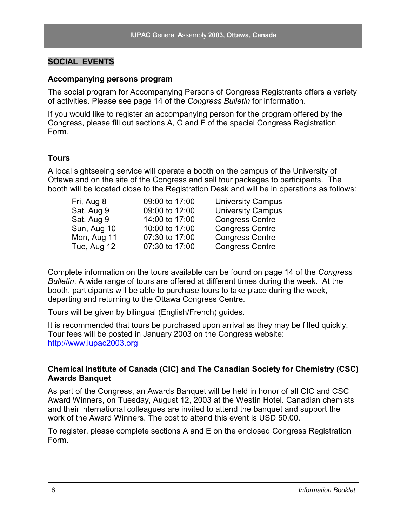### **SOCIAL EVENTS**

#### **Accompanying persons program**

The social program for Accompanying Persons of Congress Registrants offers a variety of activities. Please see page 14 of the *Congress Bulletin* for information.

If you would like to register an accompanying person for the program offered by the Congress, please fill out sections A, C and F of the special Congress Registration Form.

#### **Tours**

A local sightseeing service will operate a booth on the campus of the University of Ottawa and on the site of the Congress and sell tour packages to participants. The booth will be located close to the Registration Desk and will be in operations as follows:

| Fri, Aug 8  | 09:00 to 17:00 | <b>University Campus</b> |
|-------------|----------------|--------------------------|
| Sat, Aug 9  | 09:00 to 12:00 | <b>University Campus</b> |
| Sat, Aug 9  | 14:00 to 17:00 | <b>Congress Centre</b>   |
| Sun, Aug 10 | 10:00 to 17:00 | <b>Congress Centre</b>   |
| Mon, Aug 11 | 07:30 to 17:00 | <b>Congress Centre</b>   |
| Tue, Aug 12 | 07:30 to 17:00 | <b>Congress Centre</b>   |
|             |                |                          |

Complete information on the tours available can be found on page 14 of the *Congress Bulletin*. A wide range of tours are offered at different times during the week. At the booth, participants will be able to purchase tours to take place during the week, departing and returning to the Ottawa Congress Centre.

Tours will be given by bilingual (English/French) guides.

It is recommended that tours be purchased upon arrival as they may be filled quickly. Tour fees will be posted in January 2003 on the Congress website: http://www.iupac2003.org

### **Chemical Institute of Canada (CIC) and The Canadian Society for Chemistry (CSC) Awards Banquet**

As part of the Congress, an Awards Banquet will be held in honor of all CIC and CSC Award Winners, on Tuesday, August 12, 2003 at the Westin Hotel. Canadian chemists and their international colleagues are invited to attend the banquet and support the work of the Award Winners. The cost to attend this event is USD 50.00.

To register, please complete sections A and E on the enclosed Congress Registration Form.